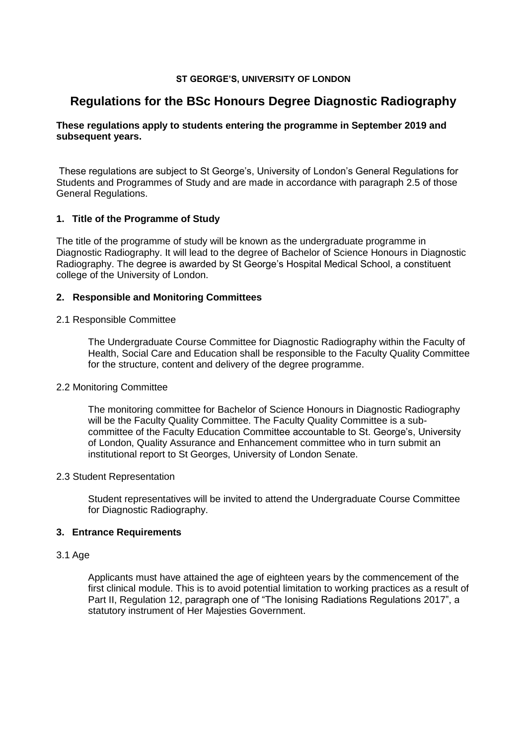## **ST GEORGE'S, UNIVERSITY OF LONDON**

# **Regulations for the BSc Honours Degree Diagnostic Radiography**

# **These regulations apply to students entering the programme in September 2019 and subsequent years.**

These regulations are subject to St George's, University of London's General Regulations for Students and Programmes of Study and are made in accordance with paragraph 2.5 of those General Regulations.

## **1. Title of the Programme of Study**

The title of the programme of study will be known as the undergraduate programme in Diagnostic Radiography. It will lead to the degree of Bachelor of Science Honours in Diagnostic Radiography. The degree is awarded by St George's Hospital Medical School, a constituent college of the University of London.

## **2. Responsible and Monitoring Committees**

## 2.1 Responsible Committee

The Undergraduate Course Committee for Diagnostic Radiography within the Faculty of Health, Social Care and Education shall be responsible to the Faculty Quality Committee for the structure, content and delivery of the degree programme.

## 2.2 Monitoring Committee

The monitoring committee for Bachelor of Science Honours in Diagnostic Radiography will be the Faculty Quality Committee. The Faculty Quality Committee is a subcommittee of the Faculty Education Committee accountable to St. George's, University of London, Quality Assurance and Enhancement committee who in turn submit an institutional report to St Georges, University of London Senate.

## 2.3 Student Representation

Student representatives will be invited to attend the Undergraduate Course Committee for Diagnostic Radiography.

# **3. Entrance Requirements**

## 3.1 Age

Applicants must have attained the age of eighteen years by the commencement of the first clinical module. This is to avoid potential limitation to working practices as a result of Part II, Regulation 12, paragraph one of "The Ionising Radiations Regulations 2017", a statutory instrument of Her Majesties Government.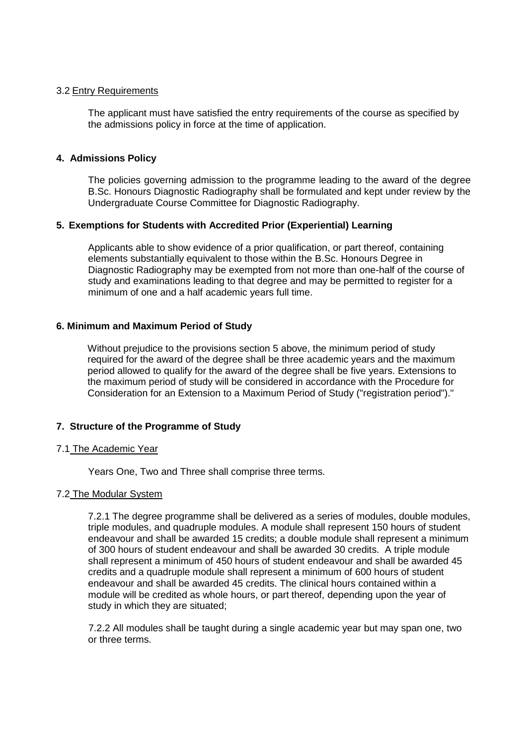## 3.2 Entry Requirements

The applicant must have satisfied the entry requirements of the course as specified by the admissions policy in force at the time of application.

## **4. Admissions Policy**

The policies governing admission to the programme leading to the award of the degree B.Sc. Honours Diagnostic Radiography shall be formulated and kept under review by the Undergraduate Course Committee for Diagnostic Radiography.

## **5. Exemptions for Students with Accredited Prior (Experiential) Learning**

Applicants able to show evidence of a prior qualification, or part thereof, containing elements substantially equivalent to those within the B.Sc. Honours Degree in Diagnostic Radiography may be exempted from not more than one-half of the course of study and examinations leading to that degree and may be permitted to register for a minimum of one and a half academic years full time.

## **6. Minimum and Maximum Period of Study**

Without prejudice to the provisions section 5 above, the minimum period of study required for the award of the degree shall be three academic years and the maximum period allowed to qualify for the award of the degree shall be five years. Extensions to the maximum period of study will be considered in accordance with the Procedure for Consideration for an Extension to a Maximum Period of Study ("registration period")."

# **7. Structure of the Programme of Study**

## 7.1 The Academic Year

Years One, Two and Three shall comprise three terms.

## 7.2 The Modular System

7.2.1 The degree programme shall be delivered as a series of modules, double modules, triple modules, and quadruple modules. A module shall represent 150 hours of student endeavour and shall be awarded 15 credits; a double module shall represent a minimum of 300 hours of student endeavour and shall be awarded 30 credits. A triple module shall represent a minimum of 450 hours of student endeavour and shall be awarded 45 credits and a quadruple module shall represent a minimum of 600 hours of student endeavour and shall be awarded 45 credits. The clinical hours contained within a module will be credited as whole hours, or part thereof, depending upon the year of study in which they are situated;

 7.2.2 All modules shall be taught during a single academic year but may span one, two or three terms.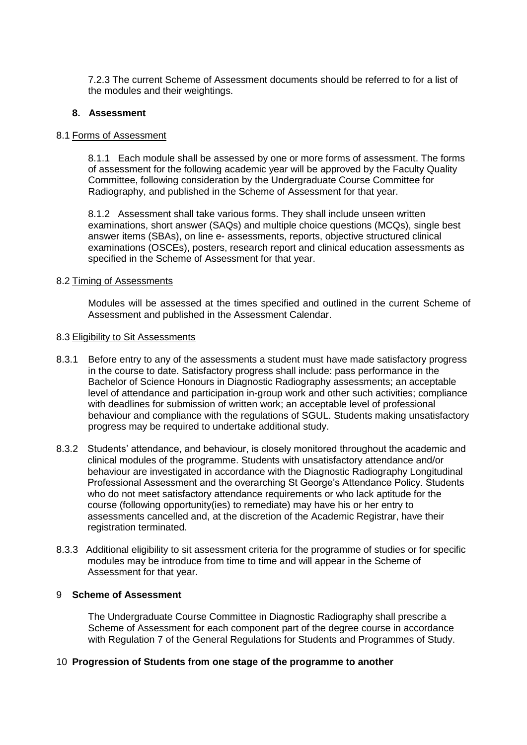7.2.3 The current Scheme of Assessment documents should be referred to for a list of the modules and their weightings.

## **8. Assessment**

## 8.1 Forms of Assessment

8.1.1 Each module shall be assessed by one or more forms of assessment. The forms of assessment for the following academic year will be approved by the Faculty Quality Committee, following consideration by the Undergraduate Course Committee for Radiography, and published in the Scheme of Assessment for that year.

8.1.2 Assessment shall take various forms. They shall include unseen written examinations, short answer (SAQs) and multiple choice questions (MCQs), single best answer items (SBAs), on line e- assessments, reports, objective structured clinical examinations (OSCEs), posters, research report and clinical education assessments as specified in the Scheme of Assessment for that year.

## 8.2 Timing of Assessments

Modules will be assessed at the times specified and outlined in the current Scheme of Assessment and published in the Assessment Calendar.

## 8.3 Eligibility to Sit Assessments

- 8.3.1 Before entry to any of the assessments a student must have made satisfactory progress in the course to date. Satisfactory progress shall include: pass performance in the Bachelor of Science Honours in Diagnostic Radiography assessments; an acceptable level of attendance and participation in-group work and other such activities; compliance with deadlines for submission of written work; an acceptable level of professional behaviour and compliance with the regulations of SGUL. Students making unsatisfactory progress may be required to undertake additional study.
- 8.3.2 Students' attendance, and behaviour, is closely monitored throughout the academic and clinical modules of the programme. Students with unsatisfactory attendance and/or behaviour are investigated in accordance with the Diagnostic Radiography Longitudinal Professional Assessment and the overarching St George's Attendance Policy. Students who do not meet satisfactory attendance requirements or who lack aptitude for the course (following opportunity(ies) to remediate) may have his or her entry to assessments cancelled and, at the discretion of the Academic Registrar, have their registration terminated.
- 8.3.3 Additional eligibility to sit assessment criteria for the programme of studies or for specific modules may be introduce from time to time and will appear in the Scheme of Assessment for that year.

## 9 **Scheme of Assessment**

The Undergraduate Course Committee in Diagnostic Radiography shall prescribe a Scheme of Assessment for each component part of the degree course in accordance with Regulation 7 of the General Regulations for Students and Programmes of Study.

# 10 **Progression of Students from one stage of the programme to another**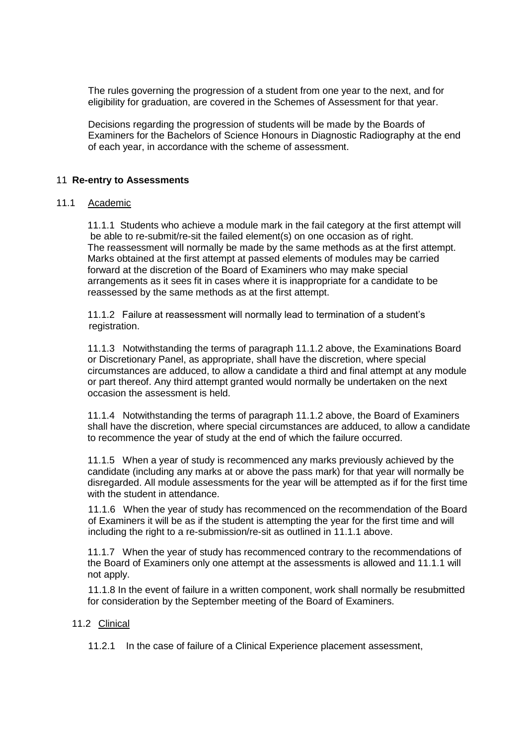The rules governing the progression of a student from one year to the next, and for eligibility for graduation, are covered in the Schemes of Assessment for that year.

Decisions regarding the progression of students will be made by the Boards of Examiners for the Bachelors of Science Honours in Diagnostic Radiography at the end of each year, in accordance with the scheme of assessment.

## 11 **Re-entry to Assessments**

## 11.1 Academic

11.1.1 Students who achieve a module mark in the fail category at the first attempt will be able to re-submit/re-sit the failed element(s) on one occasion as of right. The reassessment will normally be made by the same methods as at the first attempt. Marks obtained at the first attempt at passed elements of modules may be carried forward at the discretion of the Board of Examiners who may make special arrangements as it sees fit in cases where it is inappropriate for a candidate to be reassessed by the same methods as at the first attempt.

11.1.2 Failure at reassessment will normally lead to termination of a student's registration.

11.1.3 Notwithstanding the terms of paragraph 11.1.2 above, the Examinations Board or Discretionary Panel, as appropriate, shall have the discretion, where special circumstances are adduced, to allow a candidate a third and final attempt at any module or part thereof. Any third attempt granted would normally be undertaken on the next occasion the assessment is held.

11.1.4 Notwithstanding the terms of paragraph 11.1.2 above, the Board of Examiners shall have the discretion, where special circumstances are adduced, to allow a candidate to recommence the year of study at the end of which the failure occurred.

11.1.5 When a year of study is recommenced any marks previously achieved by the candidate (including any marks at or above the pass mark) for that year will normally be disregarded. All module assessments for the year will be attempted as if for the first time with the student in attendance.

11.1.6 When the year of study has recommenced on the recommendation of the Board of Examiners it will be as if the student is attempting the year for the first time and will including the right to a re-submission/re-sit as outlined in 11.1.1 above.

11.1.7 When the year of study has recommenced contrary to the recommendations of the Board of Examiners only one attempt at the assessments is allowed and 11.1.1 will not apply.

11.1.8 In the event of failure in a written component, work shall normally be resubmitted for consideration by the September meeting of the Board of Examiners.

## 11.2 Clinical

11.2.1 In the case of failure of a Clinical Experience placement assessment,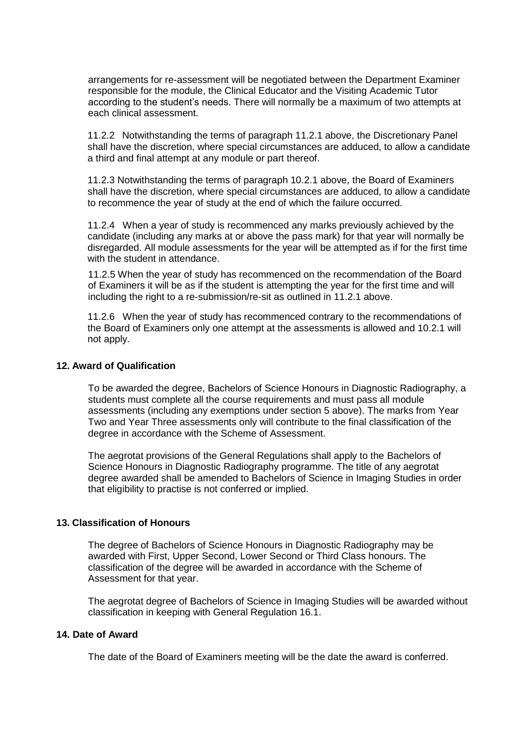arrangements for re-assessment will be negotiated between the Department Examiner responsible for the module, the Clinical Educator and the Visiting Academic Tutor according to the student's needs. There will normally be a maximum of two attempts at each clinical assessment.

11.2.2 Notwithstanding the terms of paragraph 11.2.1 above, the Discretionary Panel shall have the discretion, where special circumstances are adduced, to allow a candidate a third and final attempt at any module or part thereof.

11.2.3 Notwithstanding the terms of paragraph 10.2.1 above, the Board of Examiners shall have the discretion, where special circumstances are adduced, to allow a candidate to recommence the year of study at the end of which the failure occurred.

11.2.4 When a year of study is recommenced any marks previously achieved by the candidate (including any marks at or above the pass mark) for that year will normally be disregarded. All module assessments for the year will be attempted as if for the first time with the student in attendance.

11.2.5 When the year of study has recommenced on the recommendation of the Board of Examiners it will be as if the student is attempting the year for the first time and will including the right to a re-submission/re-sit as outlined in 11.2.1 above.

11.2.6 When the year of study has recommenced contrary to the recommendations of the Board of Examiners only one attempt at the assessments is allowed and 10.2.1 will not apply.

#### **12. Award of Qualification**

To be awarded the degree, Bachelors of Science Honours in Diagnostic Radiography, a students must complete all the course requirements and must pass all module assessments (including any exemptions under section 5 above). The marks from Year Two and Year Three assessments only will contribute to the final classification of the degree in accordance with the Scheme of Assessment.

The aegrotat provisions of the General Regulations shall apply to the Bachelors of Science Honours in Diagnostic Radiography programme. The title of any aegrotat degree awarded shall be amended to Bachelors of Science in Imaging Studies in order that eligibility to practise is not conferred or implied.

## **13. Classification of Honours**

The degree of Bachelors of Science Honours in Diagnostic Radiography may be awarded with First, Upper Second, Lower Second or Third Class honours. The classification of the degree will be awarded in accordance with the Scheme of Assessment for that year.

The aegrotat degree of Bachelors of Science in Imaging Studies will be awarded without classification in keeping with General Regulation 16.1.

## **14. Date of Award**

The date of the Board of Examiners meeting will be the date the award is conferred.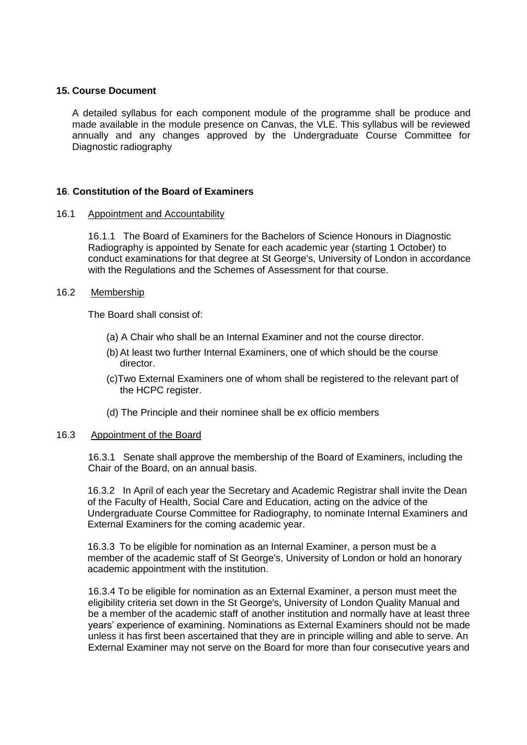## **15. Course Document**

A detailed syllabus for each component module of the programme shall be produce and made available in the module presence on Canvas, the VLE. This syllabus will be reviewed annually and any changes approved by the Undergraduate Course Committee for Diagnostic radiography

## **16**. **Constitution of the Board of Examiners**

## 16.1 Appointment and Accountability

16.1.1 The Board of Examiners for the Bachelors of Science Honours in Diagnostic Radiography is appointed by Senate for each academic year (starting 1 October) to conduct examinations for that degree at St George's, University of London in accordance with the Regulations and the Schemes of Assessment for that course.

## 16.2 Membership

The Board shall consist of:

- (a) A Chair who shall be an Internal Examiner and not the course director.
- (b) At least two further Internal Examiners, one of which should be the course director.
- (c)Two External Examiners one of whom shall be registered to the relevant part of the HCPC register.
- (d) The Principle and their nominee shall be ex officio members

## 16.3 Appointment of the Board

16.3.1 Senate shall approve the membership of the Board of Examiners, including the Chair of the Board, on an annual basis.

16.3.2 In April of each year the Secretary and Academic Registrar shall invite the Dean of the Faculty of Health, Social Care and Education, acting on the advice of the Undergraduate Course Committee for Radiography, to nominate Internal Examiners and External Examiners for the coming academic year.

16.3.3 To be eligible for nomination as an Internal Examiner, a person must be a member of the academic staff of St George's, University of London or hold an honorary academic appointment with the institution.

16.3.4 To be eligible for nomination as an External Examiner, a person must meet the eligibility criteria set down in the St George's, University of London Quality Manual and be a member of the academic staff of another institution and normally have at least three years' experience of examining. Nominations as External Examiners should not be made unless it has first been ascertained that they are in principle willing and able to serve. An External Examiner may not serve on the Board for more than four consecutive years and